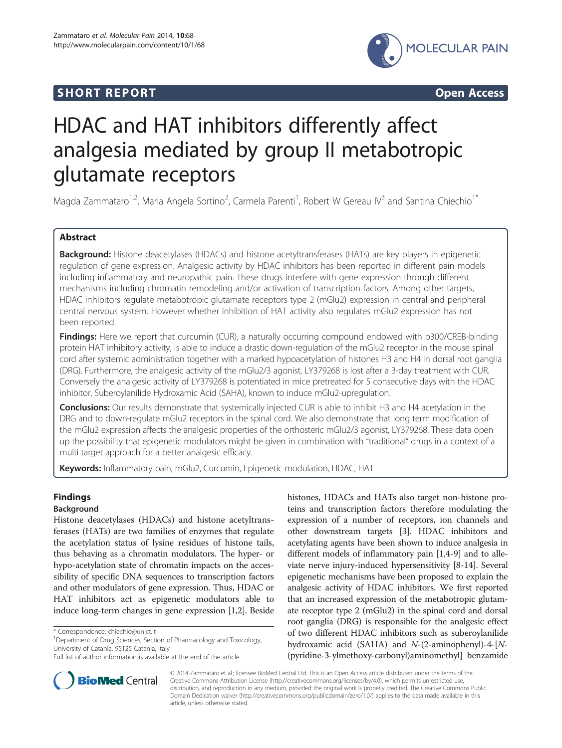# **SHORT REPORT SHORT CONSUMING A SHORT REPORT**



# HDAC and HAT inhibitors differently affect analgesia mediated by group II metabotropic glutamate receptors

Magda Zammataro<sup>1,2</sup>, Maria Angela Sortino<sup>2</sup>, Carmela Parenti<sup>1</sup>, Robert W Gereau IV<sup>3</sup> and Santina Chiechio<sup>1\*</sup>

# Abstract

Background: Histone deacetylases (HDACs) and histone acetyltransferases (HATs) are key players in epigenetic regulation of gene expression. Analgesic activity by HDAC inhibitors has been reported in different pain models including inflammatory and neuropathic pain. These drugs interfere with gene expression through different mechanisms including chromatin remodeling and/or activation of transcription factors. Among other targets, HDAC inhibitors regulate metabotropic glutamate receptors type 2 (mGlu2) expression in central and peripheral central nervous system. However whether inhibition of HAT activity also regulates mGlu2 expression has not been reported.

Findings: Here we report that curcumin (CUR), a naturally occurring compound endowed with p300/CREB-binding protein HAT inhibitory activity, is able to induce a drastic down-regulation of the mGlu2 receptor in the mouse spinal cord after systemic administration together with a marked hypoacetylation of histones H3 and H4 in dorsal root ganglia (DRG). Furthermore, the analgesic activity of the mGlu2/3 agonist, LY379268 is lost after a 3-day treatment with CUR. Conversely the analgesic activity of LY379268 is potentiated in mice pretreated for 5 consecutive days with the HDAC inhibitor, Suberoylanilide Hydroxamic Acid (SAHA), known to induce mGlu2-upregulation.

Conclusions: Our results demonstrate that systemically injected CUR is able to inhibit H3 and H4 acetylation in the DRG and to down-regulate mGlu2 receptors in the spinal cord. We also demonstrate that long term modification of the mGlu2 expression affects the analgesic properties of the orthosteric mGlu2/3 agonist, LY379268. These data open up the possibility that epigenetic modulators might be given in combination with "traditional" drugs in a context of a multi target approach for a better analgesic efficacy.

Keywords: Inflammatory pain, mGlu2, Curcumin, Epigenetic modulation, HDAC, HAT

# Findings

## Background

Histone deacetylases (HDACs) and histone acetyltransferases (HATs) are two families of enzymes that regulate the acetylation status of lysine residues of histone tails, thus behaving as a chromatin modulators. The hyper- or hypo-acetylation state of chromatin impacts on the accessibility of specific DNA sequences to transcription factors and other modulators of gene expression. Thus, HDAC or HAT inhibitors act as epigenetic modulators able to induce long-term changes in gene expression [\[1,2\]](#page-4-0). Beside

\* Correspondence: [chiechio@unict.it](mailto:chiechio@unict.it) <sup>1</sup>

<sup>1</sup>Department of Drug Sciences, Section of Pharmacology and Toxicology, University of Catania, 95125 Catania, Italy

histones, HDACs and HATs also target non-histone proteins and transcription factors therefore modulating the expression of a number of receptors, ion channels and other downstream targets [\[3](#page-4-0)]. HDAC inhibitors and acetylating agents have been shown to induce analgesia in different models of inflammatory pain [[1,4](#page-4-0)-[9\]](#page-5-0) and to alleviate nerve injury-induced hypersensitivity [\[8](#page-5-0)-[14](#page-5-0)]. Several epigenetic mechanisms have been proposed to explain the analgesic activity of HDAC inhibitors. We first reported that an increased expression of the metabotropic glutamate receptor type 2 (mGlu2) in the spinal cord and dorsal root ganglia (DRG) is responsible for the analgesic effect of two different HDAC inhibitors such as suberoylanilide hydroxamic acid (SAHA) and  $N$ -(2-aminophenyl)-4-[ $N$ -(pyridine-3-ylmethoxy-carbonyl)aminomethyl] benzamide



© 2014 Zammataro et al.; licensee BioMed Central Ltd. This is an Open Access article distributed under the terms of the Creative Commons Attribution License (<http://creativecommons.org/licenses/by/4.0>), which permits unrestricted use, distribution, and reproduction in any medium, provided the original work is properly credited. The Creative Commons Public Domain Dedication waiver [\(http://creativecommons.org/publicdomain/zero/1.0/\)](http://creativecommons.org/publicdomain/zero/1.0/) applies to the data made available in this article, unless otherwise stated.

Full list of author information is available at the end of the article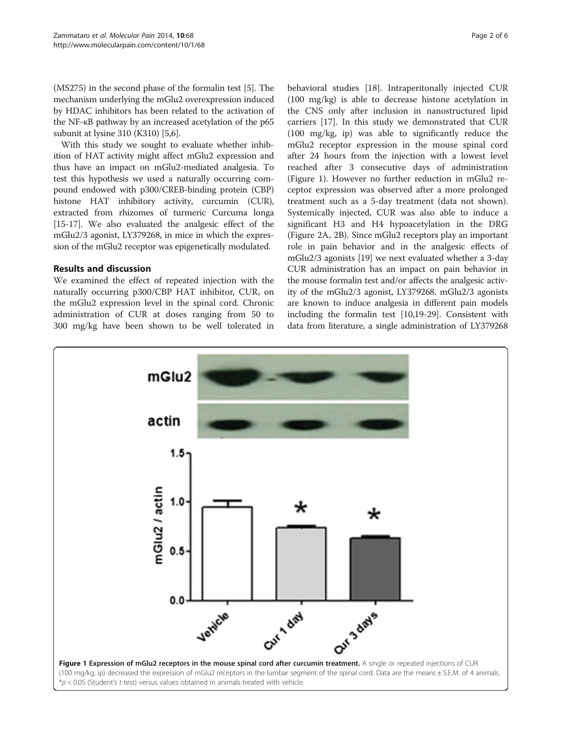(MS275) in the second phase of the formalin test [[5](#page-4-0)]. The mechanism underlying the mGlu2 overexpression induced by HDAC inhibitors has been related to the activation of the NF-κB pathway by an increased acetylation of the p65 subunit at lysine 310 (K310) [[5](#page-4-0)[,6](#page-5-0)].

With this study we sought to evaluate whether inhibition of HAT activity might affect mGlu2 expression and thus have an impact on mGlu2-mediated analgesia. To test this hypothesis we used a naturally occurring compound endowed with p300/CREB-binding protein (CBP) histone HAT inhibitory activity, curcumin (CUR), extracted from rhizomes of turmeric Curcuma longa [[15](#page-5-0)-[17\]](#page-5-0). We also evaluated the analgesic effect of the mGlu2/3 agonist, LY379268, in mice in which the expression of the mGlu2 receptor was epigenetically modulated.

#### Results and discussion

We examined the effect of repeated injection with the naturally occurring p300/CBP HAT inhibitor, CUR, on the mGlu2 expression level in the spinal cord. Chronic administration of CUR at doses ranging from 50 to 300 mg/kg have been shown to be well tolerated in

behavioral studies [[18\]](#page-5-0). Intraperitonally injected CUR (100 mg/kg) is able to decrease histone acetylation in the CNS only after inclusion in nanostructured lipid carriers [[17\]](#page-5-0). In this study we demonstrated that CUR (100 mg/kg, ip) was able to significantly reduce the mGlu2 receptor expression in the mouse spinal cord after 24 hours from the injection with a lowest level reached after 3 consecutive days of administration (Figure 1). However no further reduction in mGlu2 receptor expression was observed after a more prolonged treatment such as a 5-day treatment (data not shown). Systemically injected, CUR was also able to induce a significant H3 and H4 hypoacetylation in the DRG (Figure [2A](#page-2-0), [2B](#page-2-0)). Since mGlu2 receptors play an important role in pain behavior and in the analgesic effects of mGlu2/3 agonists [\[19\]](#page-5-0) we next evaluated whether a 3-day CUR administration has an impact on pain behavior in the mouse formalin test and/or affects the analgesic activity of the mGlu2/3 agonist, LY379268. mGlu2/3 agonists are known to induce analgesia in different pain models including the formalin test [[10](#page-5-0),[19](#page-5-0)-[29](#page-5-0)]. Consistent with data from literature, a single administration of LY379268

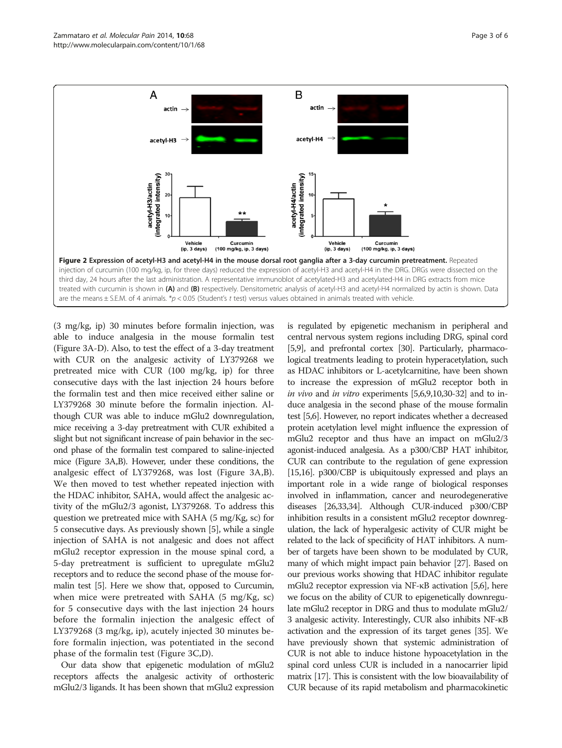<span id="page-2-0"></span>

(3 mg/kg, ip) 30 minutes before formalin injection, was able to induce analgesia in the mouse formalin test (Figure [3A](#page-3-0)-D). Also, to test the effect of a 3-day treatment with CUR on the analgesic activity of LY379268 we pretreated mice with CUR (100 mg/kg, ip) for three consecutive days with the last injection 24 hours before the formalin test and then mice received either saline or LY379268 30 minute before the formalin injection. Although CUR was able to induce mGlu2 downregulation, mice receiving a 3-day pretreatment with CUR exhibited a slight but not significant increase of pain behavior in the second phase of the formalin test compared to saline-injected mice (Figure [3A](#page-3-0),B). However, under these conditions, the analgesic effect of LY379268, was lost (Figure [3A](#page-3-0),B). We then moved to test whether repeated injection with the HDAC inhibitor, SAHA, would affect the analgesic activity of the mGlu2/3 agonist, LY379268. To address this question we pretreated mice with SAHA (5 mg/Kg, sc) for 5 consecutive days. As previously shown [\[5\]](#page-4-0), while a single injection of SAHA is not analgesic and does not affect mGlu2 receptor expression in the mouse spinal cord, a 5-day pretreatment is sufficient to upregulate mGlu2 receptors and to reduce the second phase of the mouse formalin test [\[5\]](#page-4-0). Here we show that, opposed to Curcumin, when mice were pretreated with SAHA (5 mg/Kg, sc) for 5 consecutive days with the last injection 24 hours before the formalin injection the analgesic effect of LY379268 (3 mg/kg, ip), acutely injected 30 minutes before formalin injection, was potentiated in the second phase of the formalin test (Figure [3](#page-3-0)C,D).

Our data show that epigenetic modulation of mGlu2 receptors affects the analgesic activity of orthosteric mGlu2/3 ligands. It has been shown that mGlu2 expression

is regulated by epigenetic mechanism in peripheral and central nervous system regions including DRG, spinal cord [[5](#page-4-0)[,9](#page-5-0)], and prefrontal cortex [\[30](#page-5-0)]. Particularly, pharmacological treatments leading to protein hyperacetylation, such as HDAC inhibitors or L-acetylcarnitine, have been shown to increase the expression of mGlu2 receptor both in in vivo and in vitro experiments [[5](#page-4-0)[,6,9,10,30](#page-5-0)-[32](#page-5-0)] and to induce analgesia in the second phase of the mouse formalin test [\[5,](#page-4-0)[6\]](#page-5-0). However, no report indicates whether a decreased protein acetylation level might influence the expression of mGlu2 receptor and thus have an impact on mGlu2/3 agonist-induced analgesia. As a p300/CBP HAT inhibitor, CUR can contribute to the regulation of gene expression [[15,16\]](#page-5-0). p300/CBP is ubiquitously expressed and plays an important role in a wide range of biological responses involved in inflammation, cancer and neurodegenerative diseases [[26,33,34\]](#page-5-0). Although CUR-induced p300/CBP inhibition results in a consistent mGlu2 receptor downregulation, the lack of hyperalgesic activity of CUR might be related to the lack of specificity of HAT inhibitors. A number of targets have been shown to be modulated by CUR, many of which might impact pain behavior [\[27\]](#page-5-0). Based on our previous works showing that HDAC inhibitor regulate mGlu2 receptor expression via NF-κB activation [\[5,](#page-4-0)[6](#page-5-0)], here we focus on the ability of CUR to epigenetically downregulate mGlu2 receptor in DRG and thus to modulate mGlu2/ 3 analgesic activity. Interestingly, CUR also inhibits NF-κB activation and the expression of its target genes [\[35\]](#page-5-0). We have previously shown that systemic administration of CUR is not able to induce histone hypoacetylation in the spinal cord unless CUR is included in a nanocarrier lipid matrix [\[17](#page-5-0)]. This is consistent with the low bioavailability of CUR because of its rapid metabolism and pharmacokinetic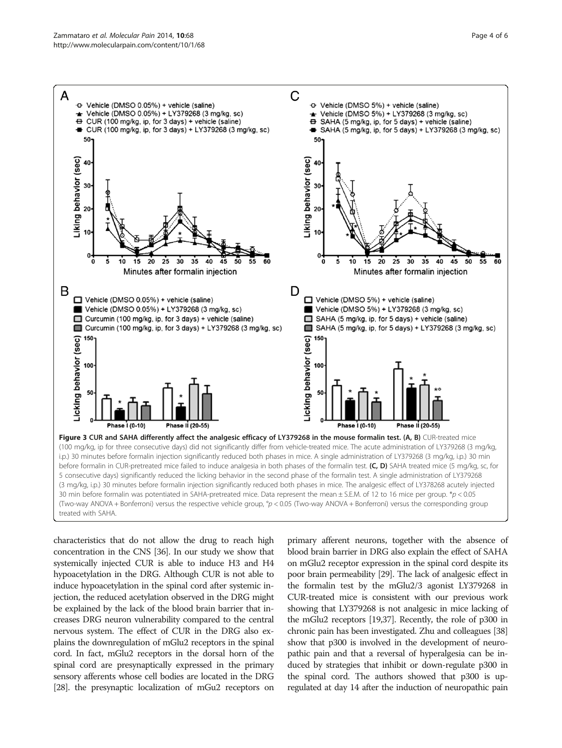<span id="page-3-0"></span>

characteristics that do not allow the drug to reach high concentration in the CNS [\[36\]](#page-5-0). In our study we show that systemically injected CUR is able to induce H3 and H4 hypoacetylation in the DRG. Although CUR is not able to induce hypoacetylation in the spinal cord after systemic injection, the reduced acetylation observed in the DRG might be explained by the lack of the blood brain barrier that increases DRG neuron vulnerability compared to the central nervous system. The effect of CUR in the DRG also explains the downregulation of mGlu2 receptors in the spinal cord. In fact, mGlu2 receptors in the dorsal horn of the spinal cord are presynaptically expressed in the primary sensory afferents whose cell bodies are located in the DRG [[28](#page-5-0)]. the presynaptic localization of mGu2 receptors on

primary afferent neurons, together with the absence of blood brain barrier in DRG also explain the effect of SAHA on mGlu2 receptor expression in the spinal cord despite its poor brain permeability [[29](#page-5-0)]. The lack of analgesic effect in the formalin test by the mGlu2/3 agonist LY379268 in CUR-treated mice is consistent with our previous work showing that LY379268 is not analgesic in mice lacking of the mGlu2 receptors [\[19,37\]](#page-5-0). Recently, the role of p300 in chronic pain has been investigated. Zhu and colleagues [\[38](#page-5-0)] show that p300 is involved in the development of neuropathic pain and that a reversal of hyperalgesia can be induced by strategies that inhibit or down-regulate p300 in the spinal cord. The authors showed that p300 is upregulated at day 14 after the induction of neuropathic pain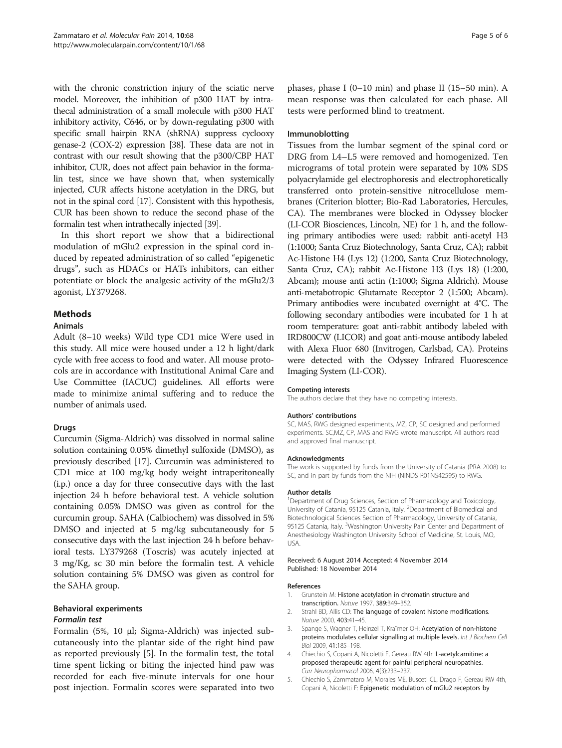<span id="page-4-0"></span>with the chronic constriction injury of the sciatic nerve model. Moreover, the inhibition of p300 HAT by intrathecal administration of a small molecule with p300 HAT inhibitory activity, C646, or by down-regulating p300 with specific small hairpin RNA (shRNA) suppress cyclooxy genase-2 (COX-2) expression [\[38\]](#page-5-0). These data are not in contrast with our result showing that the p300/CBP HAT inhibitor, CUR, does not affect pain behavior in the formalin test, since we have shown that, when systemically injected, CUR affects histone acetylation in the DRG, but not in the spinal cord [\[17](#page-5-0)]. Consistent with this hypothesis, CUR has been shown to reduce the second phase of the formalin test when intrathecally injected [[39](#page-5-0)].

In this short report we show that a bidirectional modulation of mGlu2 expression in the spinal cord induced by repeated administration of so called "epigenetic drugs", such as HDACs or HATs inhibitors, can either potentiate or block the analgesic activity of the mGlu2/3 agonist, LY379268.

# Methods

#### Animals

Adult (8–10 weeks) Wild type CD1 mice Were used in this study. All mice were housed under a 12 h light/dark cycle with free access to food and water. All mouse protocols are in accordance with Institutional Animal Care and Use Committee (IACUC) guidelines. All efforts were made to minimize animal suffering and to reduce the number of animals used.

## Drugs

Curcumin (Sigma-Aldrich) was dissolved in normal saline solution containing 0.05% dimethyl sulfoxide (DMSO), as previously described [[17](#page-5-0)]. Curcumin was administered to CD1 mice at 100 mg/kg body weight intraperitoneally (i.p.) once a day for three consecutive days with the last injection 24 h before behavioral test. A vehicle solution containing 0.05% DMSO was given as control for the curcumin group. SAHA (Calbiochem) was dissolved in 5% DMSO and injected at 5 mg/kg subcutaneously for 5 consecutive days with the last injection 24 h before behavioral tests. LY379268 (Toscris) was acutely injected at 3 mg/Kg, sc 30 min before the formalin test. A vehicle solution containing 5% DMSO was given as control for the SAHA group.

# Behavioral experiments

#### Formalin test

Formalin (5%, 10 μl; Sigma-Aldrich) was injected subcutaneously into the plantar side of the right hind paw as reported previously [5]. In the formalin test, the total time spent licking or biting the injected hind paw was recorded for each five-minute intervals for one hour post injection. Formalin scores were separated into two phases, phase I (0–10 min) and phase II (15–50 min). A mean response was then calculated for each phase. All tests were performed blind to treatment.

#### Immunoblotting

Tissues from the lumbar segment of the spinal cord or DRG from L4–L5 were removed and homogenized. Ten micrograms of total protein were separated by 10% SDS polyacrylamide gel electrophoresis and electrophoretically transferred onto protein-sensitive nitrocellulose membranes (Criterion blotter; Bio-Rad Laboratories, Hercules, CA). The membranes were blocked in Odyssey blocker (LI-COR Biosciences, Lincoln, NE) for 1 h, and the following primary antibodies were used: rabbit anti-acetyl H3 (1:1000; Santa Cruz Biotechnology, Santa Cruz, CA); rabbit Ac-Histone H4 (Lys 12) (1:200, Santa Cruz Biotechnology, Santa Cruz, CA); rabbit Ac-Histone H3 (Lys 18) (1:200, Abcam); mouse anti actin (1:1000; Sigma Aldrich). Mouse anti-metabotropic Glutamate Receptor 2 (1:500; Abcam). Primary antibodies were incubated overnight at 4°C. The following secondary antibodies were incubated for 1 h at room temperature: goat anti-rabbit antibody labeled with IRD800CW (LICOR) and goat anti-mouse antibody labeled with Alexa Fluor 680 (Invitrogen, Carlsbad, CA). Proteins were detected with the Odyssey Infrared Fluorescence Imaging System (LI-COR).

#### Competing interests

The authors declare that they have no competing interests.

#### Authors' contributions

SC, MAS, RWG designed experiments, MZ, CP, SC designed and performed experiments. SC,MZ, CP, MAS and RWG wrote manuscript. All authors read and approved final manuscript.

#### Acknowledgments

The work is supported by funds from the University of Catania (PRA 2008) to SC, and in part by funds from the NIH (NINDS R01NS42595) to RWG.

#### Author details

<sup>1</sup>Department of Drug Sciences, Section of Pharmacology and Toxicology University of Catania, 95125 Catania, Italy. <sup>2</sup>Department of Biomedical and Biotechnological Sciences Section of Pharmacology, University of Catania, 95125 Catania, Italy. <sup>3</sup>Washington University Pain Center and Department of Anesthesiology Washington University School of Medicine, St. Louis, MO, USA.

Received: 6 August 2014 Accepted: 4 November 2014 Published: 18 November 2014

#### References

- 1. Grunstein M: Histone acetylation in chromatin structure and transcription. Nature 1997, 389:349–352.
- 2. Strahl BD, Allis CD: The language of covalent histone modifications. Nature 2000, 403:41–45.
- 3. Spange S, Wagner T, Heinzel T, Kra"mer OH: Acetylation of non-histone proteins modulates cellular signalling at multiple levels. Int J Biochem Cell Biol 2009, 41:185–198.
- 4. Chiechio S, Copani A, Nicoletti F, Gereau RW 4th: L-acetylcarnitine: a proposed therapeutic agent for painful peripheral neuropathies. Curr Neuropharmacol 2006, 4(3):233–237.
- 5. Chiechio S, Zammataro M, Morales ME, Busceti CL, Drago F, Gereau RW 4th, Copani A, Nicoletti F: Epigenetic modulation of mGlu2 receptors by